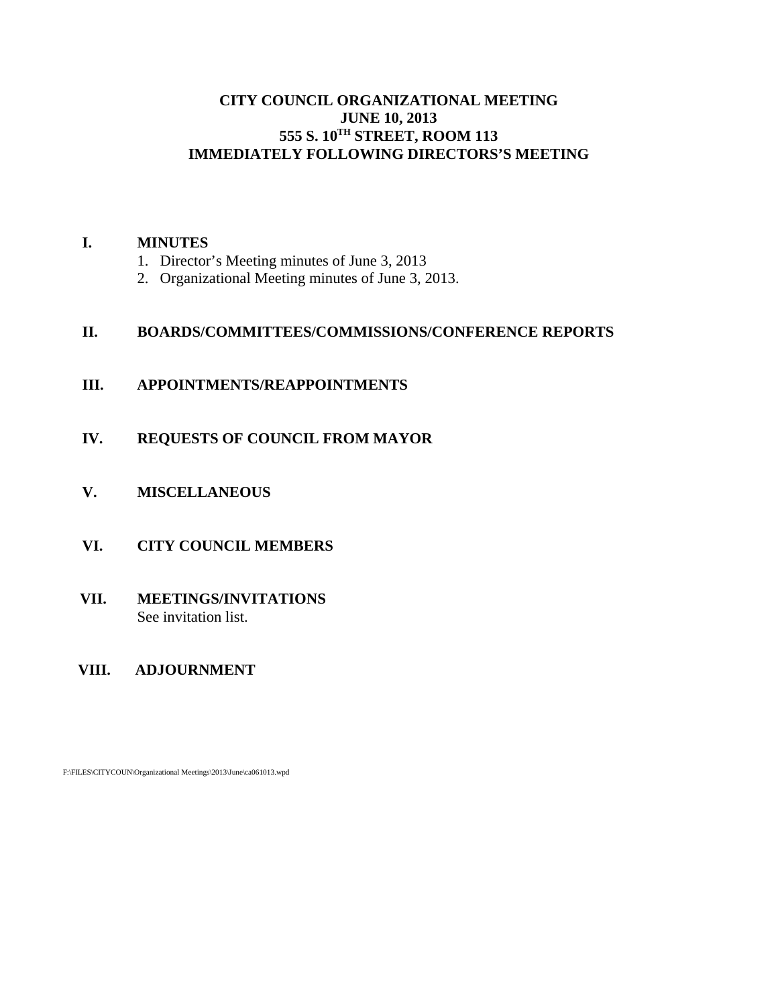# **CITY COUNCIL ORGANIZATIONAL MEETING JUNE 10, 2013 555 S. 10TH STREET, ROOM 113 IMMEDIATELY FOLLOWING DIRECTORS'S MEETING**

#### **I. MINUTES**

- 1. Director's Meeting minutes of June 3, 2013
- 2. Organizational Meeting minutes of June 3, 2013.

# **II. BOARDS/COMMITTEES/COMMISSIONS/CONFERENCE REPORTS**

- **III. APPOINTMENTS/REAPPOINTMENTS**
- **IV. REQUESTS OF COUNCIL FROM MAYOR**
- **V. MISCELLANEOUS**
- **VI. CITY COUNCIL MEMBERS**

# **VII. MEETINGS/INVITATIONS** See invitation list.

 **VIII. ADJOURNMENT**

F:\FILES\CITYCOUN\Organizational Meetings\2013\June\ca061013.wpd